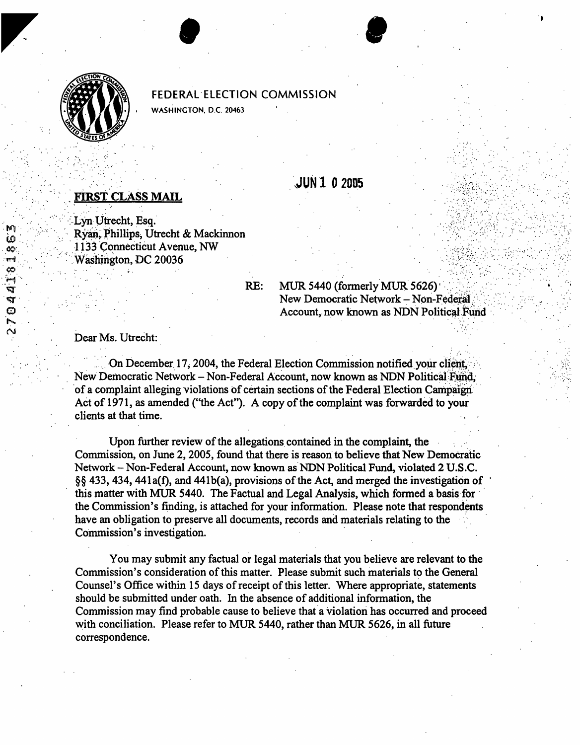

.. ..

.......... ... . . , . :. .' ........... ......

...... .. .: .. .. ..

....... .......... .... ..... ... ....

 $\mathcal{L}^{\text{max}}_{\text{max}}$ 

..

**fiJ** . '

ھ

යය

ÇÇ)

,. ..

# **FEDERAL ELECTION COMMISSION**

**I W.ASHINCTON, D.C. 20463** 

# **FIRST CLASS MAIL**

Lyn Utrecht, Esq. Ryan, Phillips, Utrecht & Mackinnon 1133 Connecticut Avenue, NW Washington, DC 20036

### $RE:$

MUR 5440 (formerly MUR 5626)<br>New Democratic Network - Non-Federal Account, now known as NDN Political Fund

**JUN102005** 

.. ....... ............ ............ ., . . ,. . -. . ... :, : ..... **I** .... .... .......

.. .. .. .. ...

...

. Dear Ms. Utrecht:

On December 17, 2004, the Federal Election Commission notified your client, New Democratic Network - Non-Federal Account, now **known as** NDN Political of a complaint alleging violations of certain sections of the Federal Election Campaign Act of 1971, as amended ("the Act"). A copy of the complaint was forwarded to your clients at that time.

Upon further review of the allegations contained in the complaint, the Commission, on June 2,2005, found that there is reason to believe that New Democratic Network - Non-Federal Account, now known **as** NDN Political **Fund,** violated **2 U.S.C.**  §§ 433,434,441a(f), and 441b(a), provisions of the Act, and merged the investigation of ' **this** matter with *MUR* 5440. The Factual and Legal Analysis, which formed a basis for the Commission's finding, is attached for your information. Please note that respondents have an obligation to preserve all documents, records and materials relating to **the**  Commission's investigation.

You may submit any factual or legal materials that you believe are relevant to the Commission's consideration of this matter. Please submit such materials to the General Counsel's Office within 15 days of receipt of this letter. Where appropriate, statements should be submitted under oath. In the absence of additional information, the Commission may find probable cause to believe that a violation has occurred and proceed with conciliation. Please refer to MUR 5440, rather than MUR 5626, in all future correspondence.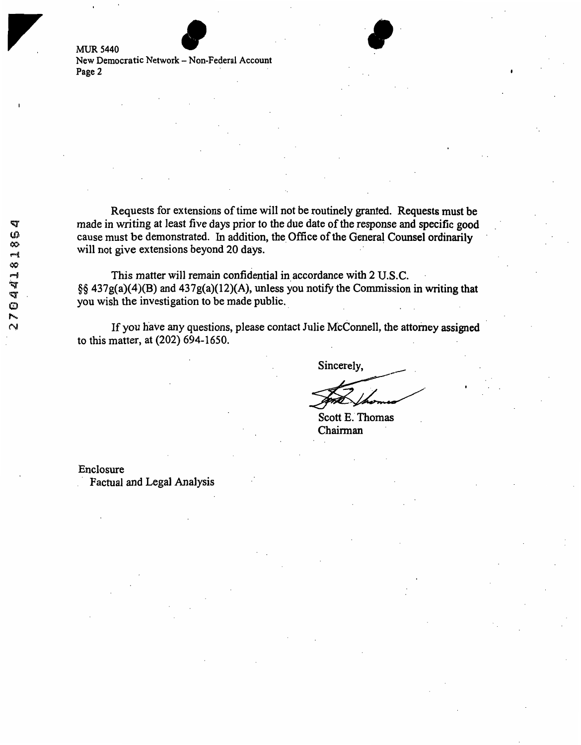**MUR 5440 New Democratic Network** - **Non-Federal Account Page 2** 

Requests for extensions of time will not be routinely granted. Requests **must** be made in writing at least five days prior to the due date of the response and specific **good**  cause must be demonstrated. In addition, **the,** Office of the General Counsel ordinarily will not give extensions beyond 20 days.

This matter will remain confidential in,accordance with **2 U.S.C.** .  $\frac{6}{9}$  437g(a)(4)(B) and 437g(a)(12)(A), unless you notify the Commission in writing that you wish the investigation to be made public.

If you have any questions, please contact Julie McConnell, the attorney assigned to this matter, at (202) 694-1650.

Sincerely,

. ' .

Scott E.' **Thomas**  Chairman '

Enclosure

Factual and Legal Analysis

**I**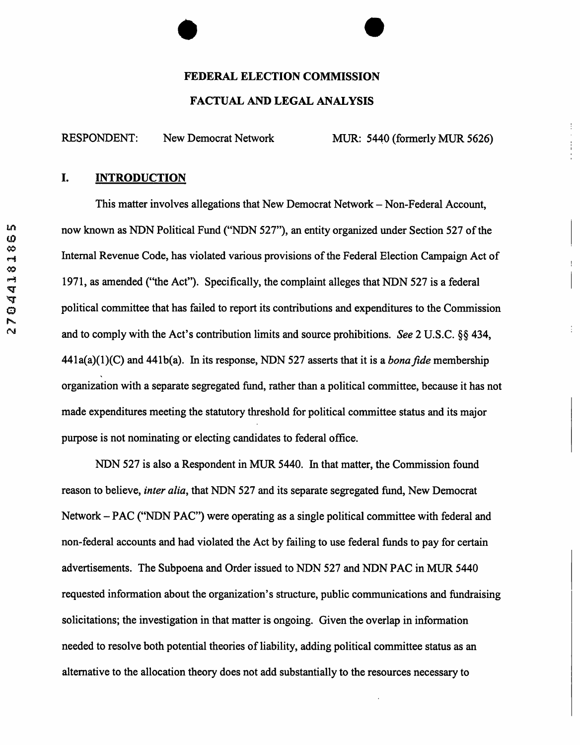## **FEDERAL ELECTION COMMISSION**

## **FACTUAL AND LEGAL ANALYSIS**

RESPONDENT: New Democrat Network MUR: 5440 (formerly MUR 5626)

i,

# **I. INTRODUCTION**

This matter involves allegations that New Democrat Network – Non-Federal Account, now known as NDN Political Fund ("NDN **527"),** an entity organized under Section **527** of the Internal Revenue Code, has violated various provisions of the Federal Election Campaign Act of 1971, as amended ("the Act"). Specifically, the complaint alleges that NDN **527** is a federal political committee that has failed to report its contributions and expenditures to the Commission and to comply with the Act's contribution limits and source prohibitions. *See* **2** U.S.C. **66** 434, 441a(a)(l)(C) and 441b(a). In its response, NDN **527** asserts that it is a *bonafide* membership organization with a separate segregated fund, rather than a political committee, because it has not made expenditures meeting the statutory threshold for political committee status and its major purpose is not nominating or electing candidates to federal office.

NDN **527** is also a Respondent in MUR 5440. In that matter, the Commission found reason to believe, *inter alia,* that NDN **527** and its separate segregated fund, New Democrat Network - PAC ("NDN PAC") were operating as a single political committee with federal and non-federal accounts and had violated the Act by failing to use federal funds to pay for certain advertisements. The Subpoena and Order issued to NDN **527** and NDN PAC in MUR 5440 requested information about the organization's structure, public communications and fundraising solicitations; the investigation in that matter is ongoing. Given the overlap in information needed to resolve both potential theories of liability, adding political committee status as an alternative to the allocation theory does not add substantially to the resources necessary to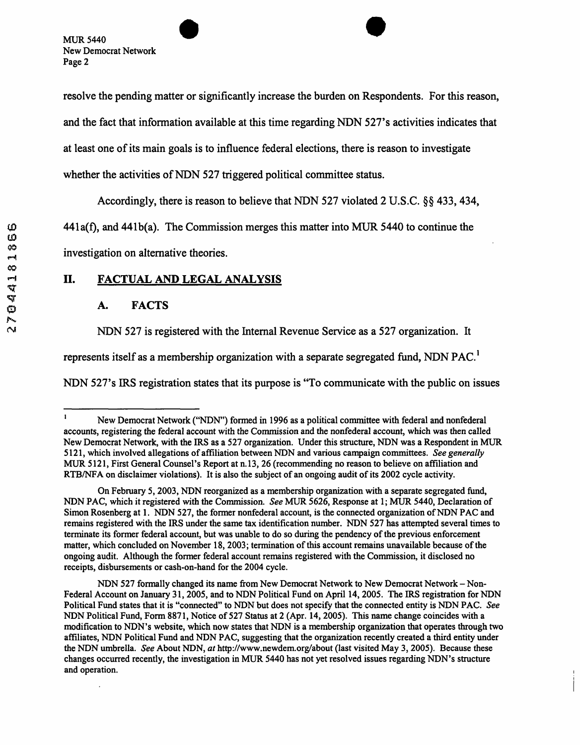resolve the pending matter or significantly increase the burden on Respondents. For this reason, and the fact that information available at this time regarding NDN **527's** activities indicates that at least one of its main goals is to influence federal elections, there is reason to investigate whether the activities of NDN **527** triggered political committee status.

Accordingly, there is reason to believe that NDN **527** violated **2** U.S.C. *\$5* 433,434,

441a(f), and 441b(a). The Commission merges this matter into MUR 5440 to continue the

investigation on alternative theories.

# **11. FACTUAL AND LEGAL ANALYSIS**

## **A. FACTS**

~ ~~ ~ ~~

NDN **527** is registered with the Internal Revenue Service as a **527** organization. It

represents itself as **a** membership organization with a separate segregated fund, NDN PAC.'

NDN **527's** IRS registration states that its purpose is "TO communicate with the public on issues

I

<sup>&</sup>lt;sup>1</sup> New Democrat Network ("NDN") formed in 1996 as a political committee with federal and nonfederal accounts, registering the federal account with the Commission and the nonfederal account, which was then called New Democrat Network, with the IRS as a 527 organization. Under this structure, NDN was a Respondent in MUR 5121, which involved allegations of affiliation between NDN and various campaign committees. *See generally* MUR *5* 12 1, First General Counsel's Report at n. 13,26 (recommending no reason to believe on afiliation and RTBNFA on disclaimer violations). It is also the subject of an ongoing audit of its 2002 cycle activity.

NDN PAC, which it registered with the Commission. *See* MUR 5626, Response at 1; MUR 5440, Declaration of Simon Rosenberg at 1. NDN 527, the former nonfederal account, is the connected organization of NDN PAC and remains registered with the IRS under the same tax identification number. NDN 527 has attempted several times to terminate its former federal account, but was unable to do **so** during the pendency of the previous enforcement matter, which concluded on November 18,2003; termination of this account remains unavailable because of the ongoing audit. Although the former federal account remains registered with the Commission, it disclosed no receipts, disbursements or cash-on-hand for the 2004 cycle. On February 5,2003, NDN reorganized as a membership organization with a separate segregated fund,

Federal Account on January 3 1,2005, and to NDN Political Fund on April 14,2005. The IRS registration for NDN Political Fund states that it is "connected" to NDN but does not specify that the connected entity is NDN PAC. *See*  NDN Political Fund, Form 8871, Notice of 527 Status at 2 (Apr. 14,2005). **This** name change coincides with a modification to NDN's website, which now states that NDN is a membership organization that operates through two affiliates, NDN Political Fund and NDN PAC, suggesting that the organization recently created a third entity under the **NDN** umbrella. *See* About NDN, *at* http://www.newdem.org/about (last visited May 3,2005). Because these changes occurred recently, the investigation in MUR 5440 has not yet resolved issues regarding NDN's structure and operation. NDN 527 formally changed its name **from** New Democrat Network to New Democrat Network - Non-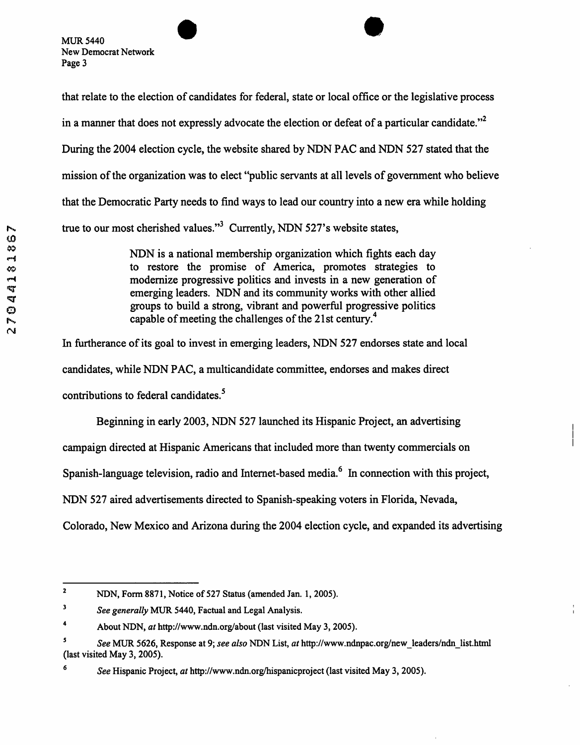that relate to the election of candidates for federal, state or local office or the legislative process in a manner that does not expressly advocate the election or defeat of a particular candidate."<sup>2</sup> During the 2004 election cycle, the website shared by NDN PAC and NDN 527 stated that the mission of the organization was to elect "public servants at all levels of government who believe that the Democratic Party needs to find ways to lead our country into a new era while holding true to our most cherished values."<sup>3</sup> Currently, NDN 527's website states,

> NDN is a national membership organization which fights each day to restore the promise of America, promotes strategies to modernize progressive politics and invests in a new generation of emerging leaders. NDN and its community works with other allied groups to build a strong, vibrant and powerful progressive politics capable of meeting the challenges of the 21st century.<sup>4</sup>

In furtherance of its goal to invest in emerging leaders, NDN 527 endorses state and local candidates, while NDN PAC, a multicandidate committee, endorses and makes direct contributions to federal candidates.<sup>5</sup>

Beginning in early **2003,** NDN 527 launched its Hispanic Project, an advertising campaign directed at Hispanic Americans that included more than twenty commercials on Spanish-language television, radio and Internet-based media.<sup>6</sup> In connection with this project, NDN **527** aired advertisements directed to Spanish-speaking voters in Florida, Nevada,

Colorado, New Mexico and Arizona during the 2004 election cycle, and expanded its advertising

I

**NDN, Form 8871, Notice of 527 Status (amended Jan. 1,2005). 2** 

*See generally* MUR **5440, Factual and Legal Analysis. 3** 

**About NDN,** *ut* **http://www.ndn.org/about (last visited May 3,2005). 4** 

See MUR 5626, Response at 9; see also NDN List, at http://www.ndnpac.org/new-leaders/ndn-list.html **5 (last visited May 3, 2005).** 

*See* **Hispanic Project,** *ut* **http://www.ndn.org/hlspanicproject (last visited May 3,2005). 6**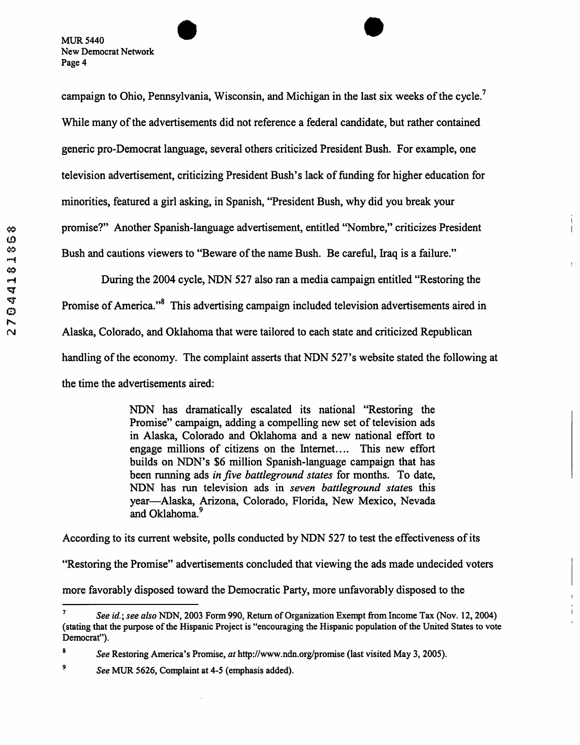campaign to Ohio, Pennsylvania, Wisconsin, and Michigan in the last six weeks of the cycle.<sup>7</sup> While many of the advertisements did not reference a federal candidate, but rather contained generic pro-Democrat language, several others criticized President Bush. For example, one television advertisement, criticizing President Bush's lack of funding for higher education for minorities, featured a girl asking, in Spanish, "President Bush, why did you break your promise?" Another Spanish-language advertisement, entitled "Nombre," criticizes President Bush and cautions viewers to "Beware of the name Bush. Be careful, Iraq is a failure."

During the **2004** cycle, **NDN 527** also ran a media campaign entitled "Restoring the Promise of America."<sup>8</sup> This advertising campaign included television advertisements aired in Alaska, Colorado, and Oklahoma that were tailored to each state and criticized Republican handling of the economy. The complaint asserts that **NDN 527's** website stated the following at the time the advertisements aired:

I

 $\mathbf{I}$ 

NDN has dramatically escalated its national "Restoring the Promise" campaign, adding a compelling new set of television ads in Alaska, Colorado and Oklahoma and a new national effort to engage millions of citizens on the Internet.. .. This new effort builds on NDN's \$6 million Spanish-language campaign that has been running ads *in Jive battleground states* for months. To date, NDN has run television ads in *seven battleground states* this year-Alaska, Arizona, Colorado, Florida, New Mexico, Nevada and Oklahoma.<sup>9</sup>

According to its current website, polls conducted by NDN **527** to test the effectiveness of its

"Restoring the Promise" advertisements concluded that viewing the ads made undecided voters

more favorably disposed toward the Democratic Party, more unfavorably disposed to the

See *id.*; see also NDN, 2003 Form 990, Return of Organization Exempt from Income Tax (Nov. 12, 2004) **(stating that the purpose of the Hispanic Project is "encouraging the Hispanic population of the United States to vote Democrat").** 

**See Restoring America's Promise,** *at* **http://www.ndn.org/promise (last visited May 3,2005). 8** 

**See MUR 5626, Complaint at 4-5 (emphasis added).**  *9*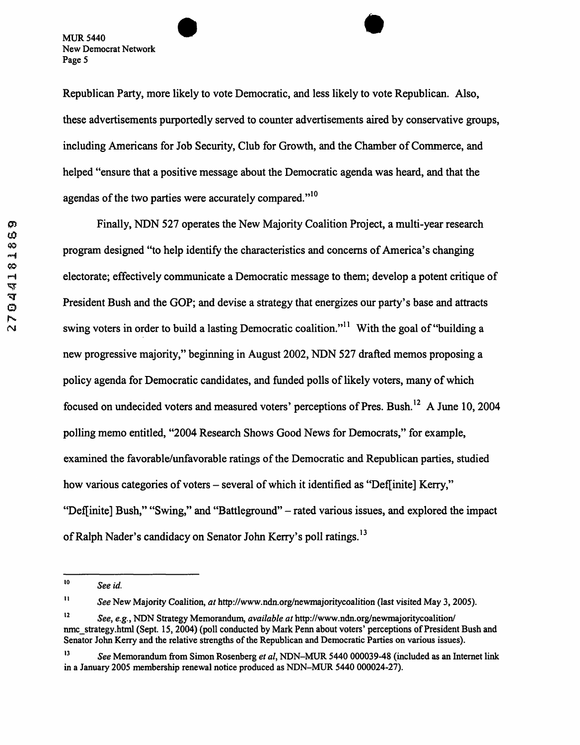Republican Party, more likely to vote Democratic, and less likely to vote Republican. Also, these advertisements purportedly served to counter advertisements aired by conservative groups, including Americans for Job Security, Club for Growth, and the Chamber of Commerce, and helped "ensure that a positive message about the Democratic agenda was heard, and that the agendas of the two parties were accurately compared."<sup>10</sup>

Finally, NDN 527 operates the New Majority Coalition Project, a multi-year research program designed "to help identify the characteristics and concerns of America's changing electorate; effectively communicate a Democratic message to them; develop a potent critique of President Bush and the GOP; and devise a strategy that energizes our party's base and attracts swing voters in order to build a lasting Democratic coalition."<sup>11</sup> With the goal of "building a new progressive majority," beginning in August 2002, NDN 527 drafted memos proposing a policy agenda for Democratic candidates, and funded polls of likely voters, many of which focused on undecided voters and measured voters' perceptions of Pres. Bush.<sup>12</sup> A June 10, 2004 polling memo entitled, "2004 Research Shows Good News for Democrats,'' for example, examined the favorable/unfavorable ratings of the Democratic and Republican parties, studied how various categories of voters - several of which it identified as "Def[inite] Kerry," "DefIinite] Bush," "Swing," **and** "Battleground" - rated various issues, and explored the impact of Ralph Nader's candidacy on Senator John Kerry's poll ratings.<sup>13</sup>

*See id.*  **IO** 

*See* **New Majority Coalition,** *at* **http://www.ndn.org/newmajoritycoalition (last visited May 3,2005). II** 

*See, e.g.* , **NDN Strategy Memorandum,** *available at* **http://www.ndn.org/newmajoritycoalition/ I2 nmc-strategy.html (Sept. 15,2004) (poll conducted by Mark Penn about voters' perceptions of President Bush and Senator John Kerry and the relative strengths of the Republican and Democratic Parties on various issues).** 

*See* **Memorandum from Simon Rosenberg** *et al,* **NDN-MUR 5440 000039-48 (included as an Internet link in a January 2005 membership renewal notice produced as NDN-MUR 5440 000024-27). 13**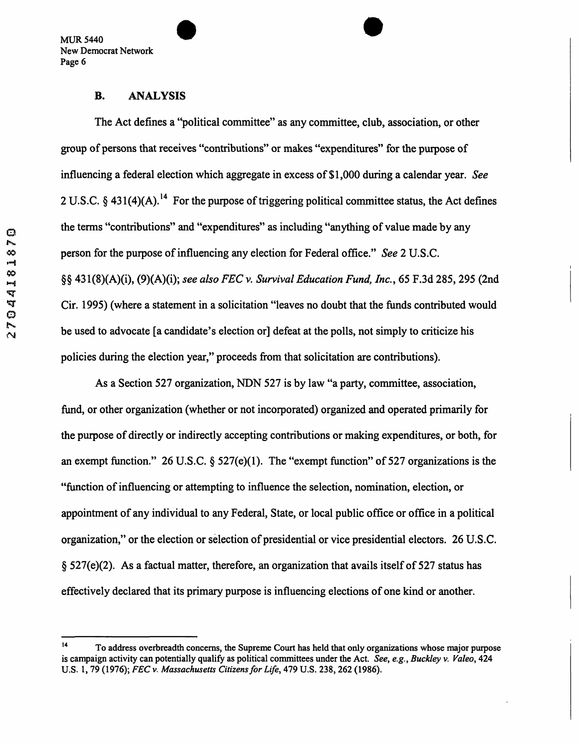#### **B. ANALYSIS**

The Act defines a "political committee" as any committee, club, association, or other group of persons that receives "contributions" or makes "expenditures" for the purpose of influencing a federal election which aggregate in excess of \$1,000 during a calendar year. *See*  2 U.S.C. § 431(4)(A).<sup>14</sup> For the purpose of triggering political committee status, the Act defines the terms "contributions" and "expenditures" as including "anything of value made by any person for the purpose of influencing any election for Federal office." *See* 2 U.S.C. **\$6** 431(8)(A)(i), (9)(A)(i); *see also FEC v. Survival Education Fund, Inc.,* 65 **F.3d** 285,295 (2nd Cir. 1995) (where a statement in a solicitation "leaves no doubt that the funds contributed would be used to advocate [a candidate's election or] defeat at the polls, not simply to criticize his policies during the election year," proceeds from that solicitation are contributions).

As a Section 527 organization, NDN 527 is by law "a party, committee, association, fund, or other organization (whether or not incorporated) organized and operated primarily for the purpose of directly or indirectly accepting contributions or making expenditures, or both, for **an** exempt function." 26 U.S.C. **6** 527(e)( 1). The "exempt function" of 527 organizations is the "fimction of influencing or attempting to influence the selection, nomination, election, or appointment of any individual to any Federal, State, or local public office or office in a political organization," or the election or selection of presidential or vice presidential electors. 26 U.S.C. **6** 527(e)(2). As a factual matter, therefore, an organization that avails itself of 527 status has effectively declared that its primary purpose is influencing elections of one kind or another.

**To address overbreadth concerns, the Supreme Court has held that only organizations whose major purpose <sup>14</sup> is campaign activity can potentially qualify as political committees under the Act.** *See, e.g., Buckley v. Valeo,* **424 U.S. 1,79 (1976);** *FEC v. Massachusetts Citizens for Li\$e,* **479 U.S. 238,262 (1986).**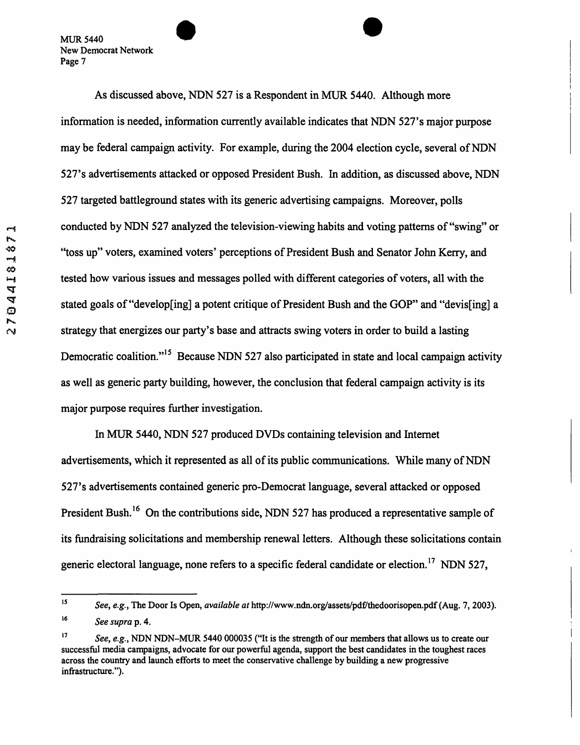**As** discussed above, **NDN 527** is a Respondent in MUR **5440.** Although more information is needed, information currently available indicates that **NDN 527's** major purpose may be federal campaign activity. For example, during the **2004** election cycle, several of **NDN 527's** advertisements attacked or opposed President Bush. In addition, as discussed above, **NDN 527** targeted battleground states with its generic advertising campaigns. Moreover, polls conducted by **NDN 527** analyzed the television-viewing habits and voting patterns of "swing" or "toss up" voters, examined voters' perceptions of President Bush and Senator John Kerry, and tested how various issues and messages polled with different categories of voters, all with the stated goals of "develop[ing] a potent critique of President Bush and the GOP" and "devis[ing] a strategy that energizes our party's base and attracts swing voters in order to build a lasting Democratic coalition."<sup>15</sup> Because NDN 527 also participated in state and local campaign activity as well **as** generic party building, however, the conclusion that federal campaign activity is its major purpose requires further investigation.

In **MUR 5440, NDN 527** produced DVDs containing television and Internet advertisements, which it represented as all of its public communications. While many of NDN **527's** advertisements contained generic pro-Democrat language, several attacked or opposed President Bush.<sup>16</sup> On the contributions side, NDN 527 has produced a representative sample of its fundraising solicitations and membership renewal letters. Although these solicitations contain generic electoral language, none refers to a specific federal candidate or election." NDN **527,** 

<sup>&</sup>lt;sup>15</sup> *See, e.g., The Door Is Open, available at http://www.ndn.org/assets/pdf/thedoorisopen.pdf (Aug. 7, 2003). See supra* **p. 4. 16** 

*See, e.g.,* **NDN NDN-MUR 5440 000035 ("It is the strength of** our **members that allows us to create** our **successful media campaigns, advocate for** our **powerful agenda, support the best candidates in the toughest races across the country and launch efforts to meet the conservative challenge by building a new progressive infrastructure** ."). **17**